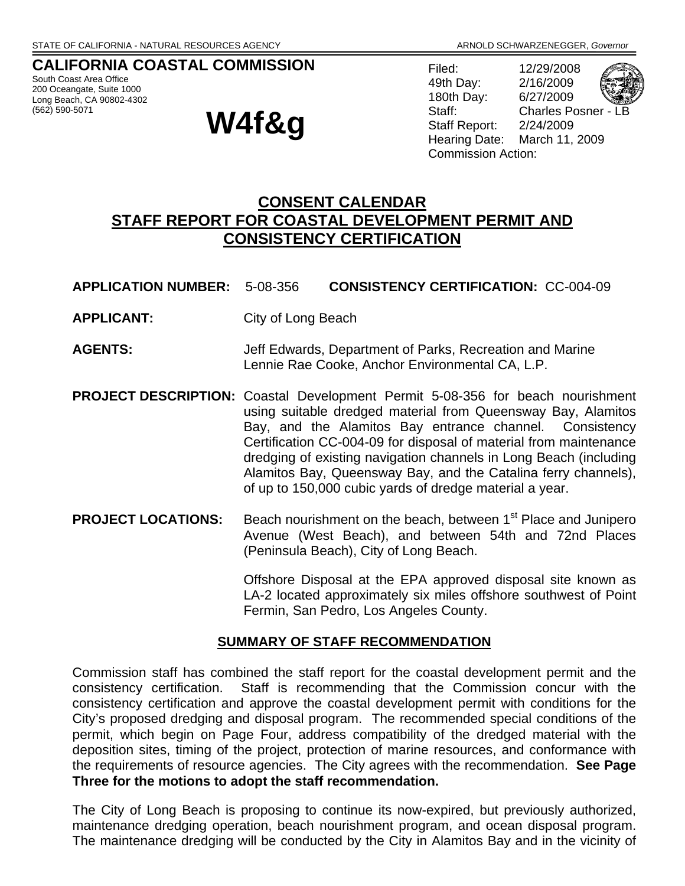# **CALIFORNIA COASTAL COMMISSION**

South Coast Area Office 200 Oceangate, Suite 1000 Long Beach, CA 90802-4302<br>(562) 590-5071

# **W4f&g**

Filed: 12/29/2008 49th Day: 2/16/2009 180th Day: 6/27/2009 Staff: Charles Posner -Staff Report: 2/24/2009 Hearing Date: March 11, 2009 Commission Action:

# **CONSENT CALENDAR STAFF REPORT FOR COASTAL DEVELOPMENT PERMIT AND CONSISTENCY CERTIFICATION**

- **APPLICATION NUMBER:** 5-08-356 **CONSISTENCY CERTIFICATION:** CC-004-09
- **APPLICANT:** City of Long Beach
- **AGENTS:** Jeff Edwards, Department of Parks, Recreation and Marine Lennie Rae Cooke, Anchor Environmental CA, L.P.
- **PROJECT DESCRIPTION:** Coastal Development Permit 5-08-356 for beach nourishment using suitable dredged material from Queensway Bay, Alamitos Bay, and the Alamitos Bay entrance channel. Consistency Certification CC-004-09 for disposal of material from maintenance dredging of existing navigation channels in Long Beach (including Alamitos Bay, Queensway Bay, and the Catalina ferry channels), of up to 150,000 cubic yards of dredge material a year.
- **PROJECT LOCATIONS:** Beach nourishment on the beach, between 1<sup>st</sup> Place and Junipero Avenue (West Beach), and between 54th and 72nd Places (Peninsula Beach), City of Long Beach.

Offshore Disposal at the EPA approved disposal site known as LA-2 located approximately six miles offshore southwest of Point Fermin, San Pedro, Los Angeles County.

#### **SUMMARY OF STAFF RECOMMENDATION**

Commission staff has combined the staff report for the coastal development permit and the consistency certification. Staff is recommending that the Commission concur with the consistency certification and approve the coastal development permit with conditions for the City's proposed dredging and disposal program. The recommended special conditions of the permit, which begin on Page Four, address compatibility of the dredged material with the deposition sites, timing of the project, protection of marine resources, and conformance with the requirements of resource agencies. The City agrees with the recommendation. **See Page Three for the motions to adopt the staff recommendation.**

The City of Long Beach is proposing to continue its now-expired, but previously authorized, maintenance dredging operation, beach nourishment program, and ocean disposal program. The maintenance dredging will be conducted by the City in Alamitos Bay and in the vicinity of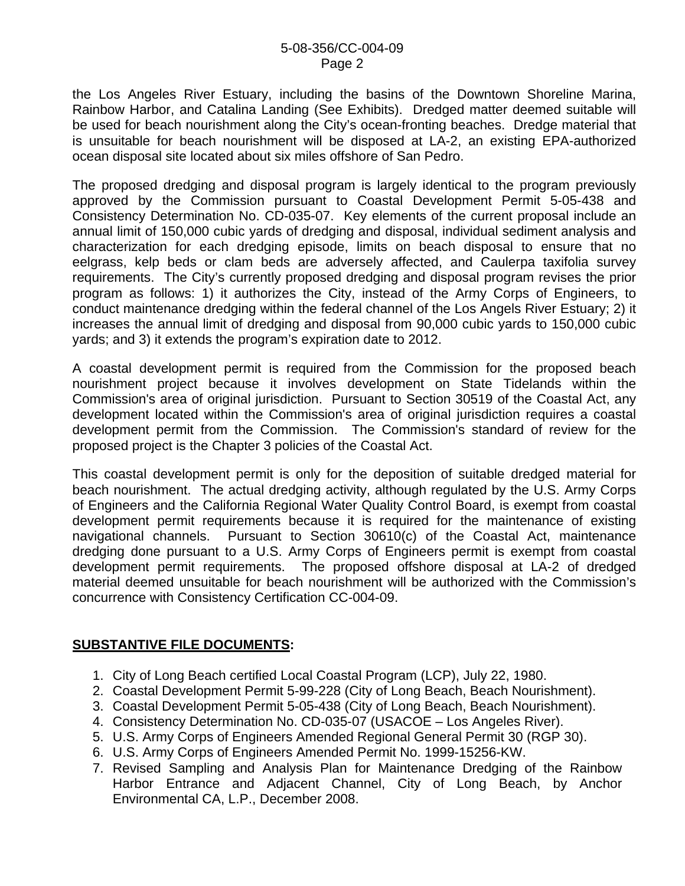the Los Angeles River Estuary, including the basins of the Downtown Shoreline Marina, Rainbow Harbor, and Catalina Landing (See Exhibits). Dredged matter deemed suitable will be used for beach nourishment along the City's ocean-fronting beaches. Dredge material that is unsuitable for beach nourishment will be disposed at LA-2, an existing EPA-authorized ocean disposal site located about six miles offshore of San Pedro.

The proposed dredging and disposal program is largely identical to the program previously approved by the Commission pursuant to Coastal Development Permit 5-05-438 and Consistency Determination No. CD-035-07. Key elements of the current proposal include an annual limit of 150,000 cubic yards of dredging and disposal, individual sediment analysis and characterization for each dredging episode, limits on beach disposal to ensure that no eelgrass, kelp beds or clam beds are adversely affected, and Caulerpa taxifolia survey requirements. The City's currently proposed dredging and disposal program revises the prior program as follows: 1) it authorizes the City, instead of the Army Corps of Engineers, to conduct maintenance dredging within the federal channel of the Los Angels River Estuary; 2) it increases the annual limit of dredging and disposal from 90,000 cubic yards to 150,000 cubic yards; and 3) it extends the program's expiration date to 2012.

A coastal development permit is required from the Commission for the proposed beach nourishment project because it involves development on State Tidelands within the Commission's area of original jurisdiction. Pursuant to Section 30519 of the Coastal Act, any development located within the Commission's area of original jurisdiction requires a coastal development permit from the Commission. The Commission's standard of review for the proposed project is the Chapter 3 policies of the Coastal Act.

This coastal development permit is only for the deposition of suitable dredged material for beach nourishment. The actual dredging activity, although regulated by the U.S. Army Corps of Engineers and the California Regional Water Quality Control Board, is exempt from coastal development permit requirements because it is required for the maintenance of existing navigational channels. Pursuant to Section 30610(c) of the Coastal Act, maintenance dredging done pursuant to a U.S. Army Corps of Engineers permit is exempt from coastal development permit requirements. The proposed offshore disposal at LA-2 of dredged material deemed unsuitable for beach nourishment will be authorized with the Commission's concurrence with Consistency Certification CC-004-09.

#### **SUBSTANTIVE FILE DOCUMENTS:**

- 1. City of Long Beach certified Local Coastal Program (LCP), July 22, 1980.
- 2. Coastal Development Permit 5-99-228 (City of Long Beach, Beach Nourishment).
- 3. Coastal Development Permit 5-05-438 (City of Long Beach, Beach Nourishment).
- 4. Consistency Determination No. CD-035-07 (USACOE Los Angeles River).
- 5. U.S. Army Corps of Engineers Amended Regional General Permit 30 (RGP 30).
- 6. U.S. Army Corps of Engineers Amended Permit No. 1999-15256-KW.
- 7. Revised Sampling and Analysis Plan for Maintenance Dredging of the Rainbow Harbor Entrance and Adjacent Channel, City of Long Beach, by Anchor Environmental CA, L.P., December 2008.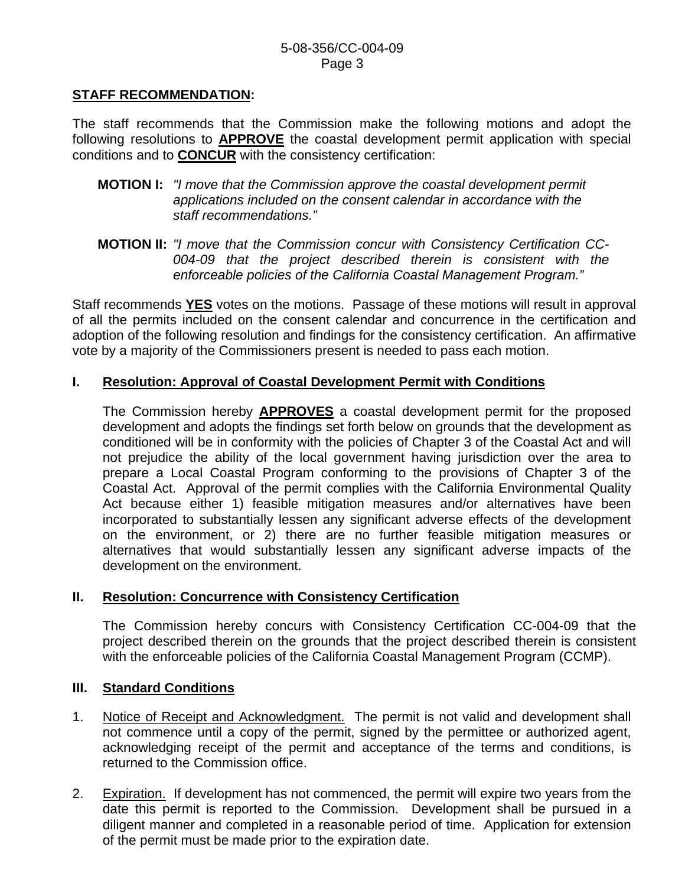#### **STAFF RECOMMENDATION:**

The staff recommends that the Commission make the following motions and adopt the following resolutions to **APPROVE** the coastal development permit application with special conditions and to **CONCUR** with the consistency certification:

- **MOTION I:** *"I move that the Commission approve the coastal development permit applications included on the consent calendar in accordance with the staff recommendations."*
- **MOTION II:** *"I move that the Commission concur with Consistency Certification CC-004-09 that the project described therein is consistent with the enforceable policies of the California Coastal Management Program."*

Staff recommends **YES** votes on the motions. Passage of these motions will result in approval of all the permits included on the consent calendar and concurrence in the certification and adoption of the following resolution and findings for the consistency certification. An affirmative vote by a majority of the Commissioners present is needed to pass each motion.

#### **I. Resolution: Approval of Coastal Development Permit with Conditions**

The Commission hereby **APPROVES** a coastal development permit for the proposed development and adopts the findings set forth below on grounds that the development as conditioned will be in conformity with the policies of Chapter 3 of the Coastal Act and will not prejudice the ability of the local government having jurisdiction over the area to prepare a Local Coastal Program conforming to the provisions of Chapter 3 of the Coastal Act. Approval of the permit complies with the California Environmental Quality Act because either 1) feasible mitigation measures and/or alternatives have been incorporated to substantially lessen any significant adverse effects of the development on the environment, or 2) there are no further feasible mitigation measures or alternatives that would substantially lessen any significant adverse impacts of the development on the environment.

#### **II. Resolution: Concurrence with Consistency Certification**

The Commission hereby concurs with Consistency Certification CC-004-09 that the project described therein on the grounds that the project described therein is consistent with the enforceable policies of the California Coastal Management Program (CCMP).

#### **III. Standard Conditions**

- 1. Notice of Receipt and Acknowledgment. The permit is not valid and development shall not commence until a copy of the permit, signed by the permittee or authorized agent, acknowledging receipt of the permit and acceptance of the terms and conditions, is returned to the Commission office.
- 2. Expiration. If development has not commenced, the permit will expire two years from the date this permit is reported to the Commission. Development shall be pursued in a diligent manner and completed in a reasonable period of time. Application for extension of the permit must be made prior to the expiration date.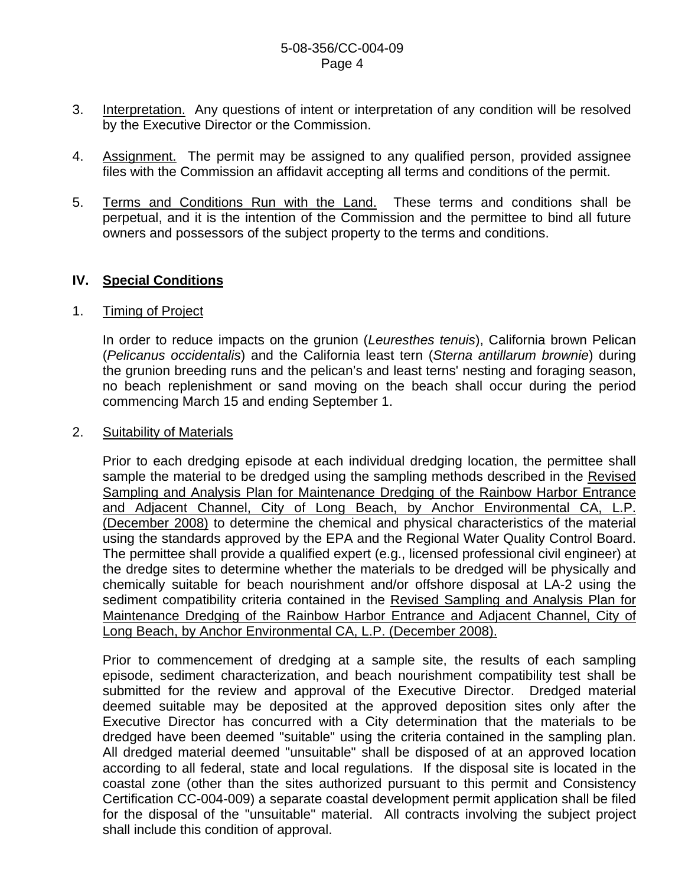- 3. Interpretation. Any questions of intent or interpretation of any condition will be resolved by the Executive Director or the Commission.
- 4. Assignment. The permit may be assigned to any qualified person, provided assignee files with the Commission an affidavit accepting all terms and conditions of the permit.
- 5. Terms and Conditions Run with the Land. These terms and conditions shall be perpetual, and it is the intention of the Commission and the permittee to bind all future owners and possessors of the subject property to the terms and conditions.

# **IV. Special Conditions**

#### 1. Timing of Project

 In order to reduce impacts on the grunion (*Leuresthes tenuis*), California brown Pelican (*Pelicanus occidentalis*) and the California least tern (*Sterna antillarum brownie*) during the grunion breeding runs and the pelican's and least terns' nesting and foraging season, no beach replenishment or sand moving on the beach shall occur during the period commencing March 15 and ending September 1.

#### 2. Suitability of Materials

 Prior to each dredging episode at each individual dredging location, the permittee shall sample the material to be dredged using the sampling methods described in the Revised Sampling and Analysis Plan for Maintenance Dredging of the Rainbow Harbor Entrance and Adjacent Channel, City of Long Beach, by Anchor Environmental CA, L.P. (December 2008) to determine the chemical and physical characteristics of the material using the standards approved by the EPA and the Regional Water Quality Control Board. The permittee shall provide a qualified expert (e.g., licensed professional civil engineer) at the dredge sites to determine whether the materials to be dredged will be physically and chemically suitable for beach nourishment and/or offshore disposal at LA-2 using the sediment compatibility criteria contained in the Revised Sampling and Analysis Plan for Maintenance Dredging of the Rainbow Harbor Entrance and Adjacent Channel, City of Long Beach, by Anchor Environmental CA, L.P. (December 2008).

 Prior to commencement of dredging at a sample site, the results of each sampling episode, sediment characterization, and beach nourishment compatibility test shall be submitted for the review and approval of the Executive Director. Dredged material deemed suitable may be deposited at the approved deposition sites only after the Executive Director has concurred with a City determination that the materials to be dredged have been deemed "suitable" using the criteria contained in the sampling plan. All dredged material deemed "unsuitable" shall be disposed of at an approved location according to all federal, state and local regulations. If the disposal site is located in the coastal zone (other than the sites authorized pursuant to this permit and Consistency Certification CC-004-009) a separate coastal development permit application shall be filed for the disposal of the "unsuitable" material. All contracts involving the subject project shall include this condition of approval.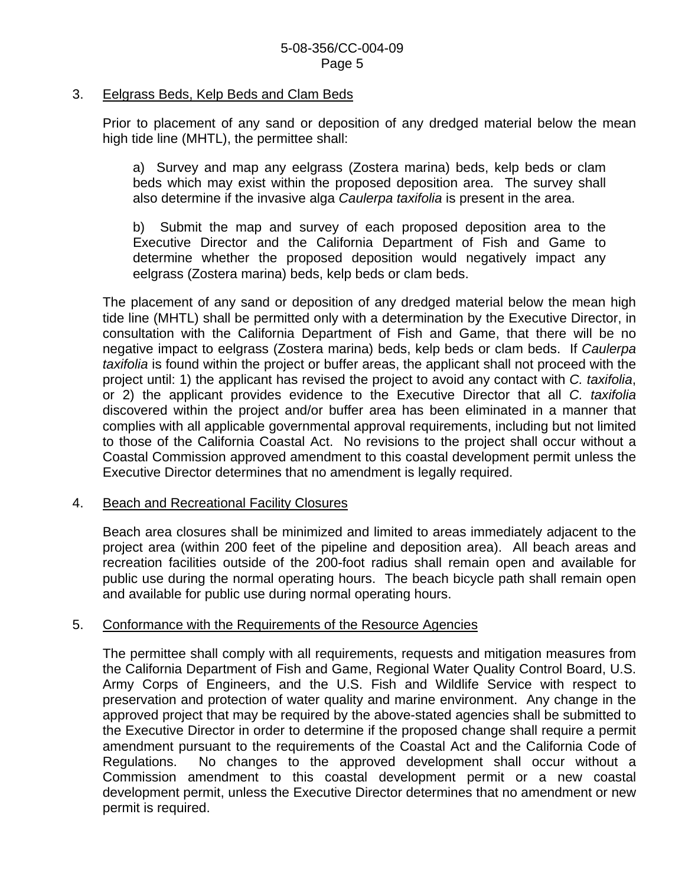#### 3. Eelgrass Beds, Kelp Beds and Clam Beds

 Prior to placement of any sand or deposition of any dredged material below the mean high tide line (MHTL), the permittee shall:

 a) Survey and map any eelgrass (Zostera marina) beds, kelp beds or clam beds which may exist within the proposed deposition area. The survey shall also determine if the invasive alga *Caulerpa taxifolia* is present in the area.

 b) Submit the map and survey of each proposed deposition area to the Executive Director and the California Department of Fish and Game to determine whether the proposed deposition would negatively impact any eelgrass (Zostera marina) beds, kelp beds or clam beds.

The placement of any sand or deposition of any dredged material below the mean high tide line (MHTL) shall be permitted only with a determination by the Executive Director, in consultation with the California Department of Fish and Game, that there will be no negative impact to eelgrass (Zostera marina) beds, kelp beds or clam beds. If *Caulerpa taxifolia* is found within the project or buffer areas, the applicant shall not proceed with the project until: 1) the applicant has revised the project to avoid any contact with *C. taxifolia*, or 2) the applicant provides evidence to the Executive Director that all *C. taxifolia* discovered within the project and/or buffer area has been eliminated in a manner that complies with all applicable governmental approval requirements, including but not limited to those of the California Coastal Act. No revisions to the project shall occur without a Coastal Commission approved amendment to this coastal development permit unless the Executive Director determines that no amendment is legally required.

#### 4. Beach and Recreational Facility Closures

 Beach area closures shall be minimized and limited to areas immediately adjacent to the project area (within 200 feet of the pipeline and deposition area). All beach areas and recreation facilities outside of the 200-foot radius shall remain open and available for public use during the normal operating hours. The beach bicycle path shall remain open and available for public use during normal operating hours.

#### 5. Conformance with the Requirements of the Resource Agencies

The permittee shall comply with all requirements, requests and mitigation measures from the California Department of Fish and Game, Regional Water Quality Control Board, U.S. Army Corps of Engineers, and the U.S. Fish and Wildlife Service with respect to preservation and protection of water quality and marine environment. Any change in the approved project that may be required by the above-stated agencies shall be submitted to the Executive Director in order to determine if the proposed change shall require a permit amendment pursuant to the requirements of the Coastal Act and the California Code of Regulations. No changes to the approved development shall occur without a Commission amendment to this coastal development permit or a new coastal development permit, unless the Executive Director determines that no amendment or new permit is required.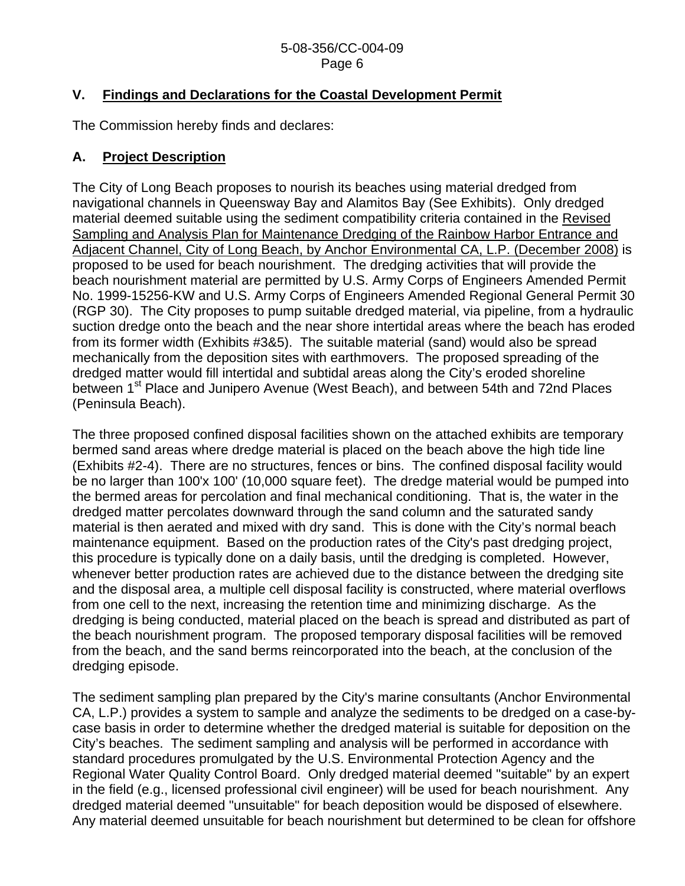#### 5-08-356/CC-004-09 Page 6

# **V. Findings and Declarations for the Coastal Development Permit**

The Commission hereby finds and declares:

# **A. Project Description**

The City of Long Beach proposes to nourish its beaches using material dredged from navigational channels in Queensway Bay and Alamitos Bay (See Exhibits). Only dredged material deemed suitable using the sediment compatibility criteria contained in the Revised Sampling and Analysis Plan for Maintenance Dredging of the Rainbow Harbor Entrance and Adjacent Channel, City of Long Beach, by Anchor Environmental CA, L.P. (December 2008) is proposed to be used for beach nourishment. The dredging activities that will provide the beach nourishment material are permitted by U.S. Army Corps of Engineers Amended Permit No. 1999-15256-KW and U.S. Army Corps of Engineers Amended Regional General Permit 30 (RGP 30). The City proposes to pump suitable dredged material, via pipeline, from a hydraulic suction dredge onto the beach and the near shore intertidal areas where the beach has eroded from its former width (Exhibits #3&5). The suitable material (sand) would also be spread mechanically from the deposition sites with earthmovers. The proposed spreading of the dredged matter would fill intertidal and subtidal areas along the City's eroded shoreline between 1<sup>st</sup> Place and Junipero Avenue (West Beach), and between 54th and 72nd Places (Peninsula Beach).

The three proposed confined disposal facilities shown on the attached exhibits are temporary bermed sand areas where dredge material is placed on the beach above the high tide line (Exhibits #2-4). There are no structures, fences or bins. The confined disposal facility would be no larger than 100'x 100' (10,000 square feet). The dredge material would be pumped into the bermed areas for percolation and final mechanical conditioning. That is, the water in the dredged matter percolates downward through the sand column and the saturated sandy material is then aerated and mixed with dry sand. This is done with the City's normal beach maintenance equipment. Based on the production rates of the City's past dredging project, this procedure is typically done on a daily basis, until the dredging is completed. However, whenever better production rates are achieved due to the distance between the dredging site and the disposal area, a multiple cell disposal facility is constructed, where material overflows from one cell to the next, increasing the retention time and minimizing discharge. As the dredging is being conducted, material placed on the beach is spread and distributed as part of the beach nourishment program. The proposed temporary disposal facilities will be removed from the beach, and the sand berms reincorporated into the beach, at the conclusion of the dredging episode.

The sediment sampling plan prepared by the City's marine consultants (Anchor Environmental CA, L.P.) provides a system to sample and analyze the sediments to be dredged on a case-bycase basis in order to determine whether the dredged material is suitable for deposition on the City's beaches. The sediment sampling and analysis will be performed in accordance with standard procedures promulgated by the U.S. Environmental Protection Agency and the Regional Water Quality Control Board. Only dredged material deemed "suitable" by an expert in the field (e.g., licensed professional civil engineer) will be used for beach nourishment. Any dredged material deemed "unsuitable" for beach deposition would be disposed of elsewhere. Any material deemed unsuitable for beach nourishment but determined to be clean for offshore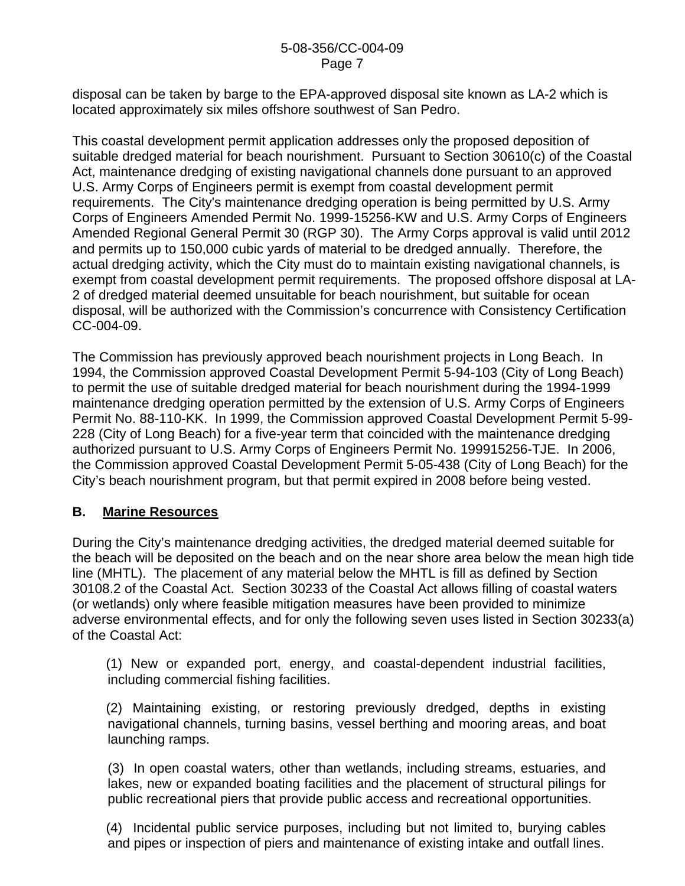#### 5-08-356/CC-004-09 Page 7

disposal can be taken by barge to the EPA-approved disposal site known as LA-2 which is located approximately six miles offshore southwest of San Pedro.

This coastal development permit application addresses only the proposed deposition of suitable dredged material for beach nourishment. Pursuant to Section 30610(c) of the Coastal Act, maintenance dredging of existing navigational channels done pursuant to an approved U.S. Army Corps of Engineers permit is exempt from coastal development permit requirements. The City's maintenance dredging operation is being permitted by U.S. Army Corps of Engineers Amended Permit No. 1999-15256-KW and U.S. Army Corps of Engineers Amended Regional General Permit 30 (RGP 30). The Army Corps approval is valid until 2012 and permits up to 150,000 cubic yards of material to be dredged annually. Therefore, the actual dredging activity, which the City must do to maintain existing navigational channels, is exempt from coastal development permit requirements. The proposed offshore disposal at LA-2 of dredged material deemed unsuitable for beach nourishment, but suitable for ocean disposal, will be authorized with the Commission's concurrence with Consistency Certification CC-004-09.

The Commission has previously approved beach nourishment projects in Long Beach. In 1994, the Commission approved Coastal Development Permit 5-94-103 (City of Long Beach) to permit the use of suitable dredged material for beach nourishment during the 1994-1999 maintenance dredging operation permitted by the extension of U.S. Army Corps of Engineers Permit No. 88-110-KK. In 1999, the Commission approved Coastal Development Permit 5-99- 228 (City of Long Beach) for a five-year term that coincided with the maintenance dredging authorized pursuant to U.S. Army Corps of Engineers Permit No. 199915256-TJE. In 2006, the Commission approved Coastal Development Permit 5-05-438 (City of Long Beach) for the City's beach nourishment program, but that permit expired in 2008 before being vested.

#### **B. Marine Resources**

During the City's maintenance dredging activities, the dredged material deemed suitable for the beach will be deposited on the beach and on the near shore area below the mean high tide line (MHTL). The placement of any material below the MHTL is fill as defined by Section 30108.2 of the Coastal Act. Section 30233 of the Coastal Act allows filling of coastal waters (or wetlands) only where feasible mitigation measures have been provided to minimize adverse environmental effects, and for only the following seven uses listed in Section 30233(a) of the Coastal Act:

 (1) New or expanded port, energy, and coastal-dependent industrial facilities, including commercial fishing facilities.

 (2) Maintaining existing, or restoring previously dredged, depths in existing navigational channels, turning basins, vessel berthing and mooring areas, and boat launching ramps.

 (3) In open coastal waters, other than wetlands, including streams, estuaries, and lakes, new or expanded boating facilities and the placement of structural pilings for public recreational piers that provide public access and recreational opportunities.

 (4) Incidental public service purposes, including but not limited to, burying cables and pipes or inspection of piers and maintenance of existing intake and outfall lines.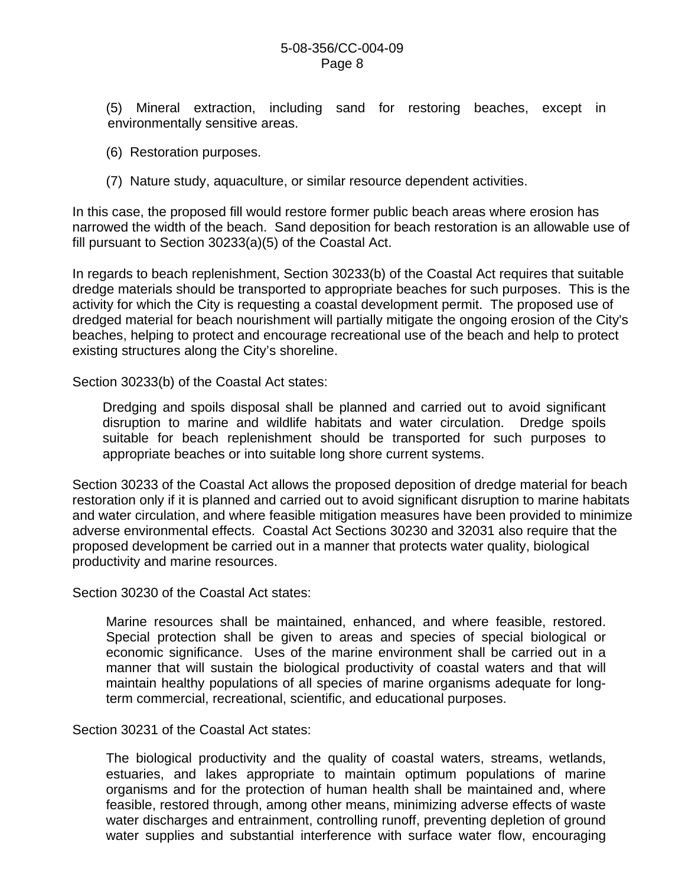(5) Mineral extraction, including sand for restoring beaches, except in environmentally sensitive areas.

- (6) Restoration purposes.
- (7) Nature study, aquaculture, or similar resource dependent activities.

In this case, the proposed fill would restore former public beach areas where erosion has narrowed the width of the beach. Sand deposition for beach restoration is an allowable use of fill pursuant to Section 30233(a)(5) of the Coastal Act.

In regards to beach replenishment, Section 30233(b) of the Coastal Act requires that suitable dredge materials should be transported to appropriate beaches for such purposes. This is the activity for which the City is requesting a coastal development permit. The proposed use of dredged material for beach nourishment will partially mitigate the ongoing erosion of the City's beaches, helping to protect and encourage recreational use of the beach and help to protect existing structures along the City's shoreline.

Section 30233(b) of the Coastal Act states:

Dredging and spoils disposal shall be planned and carried out to avoid significant disruption to marine and wildlife habitats and water circulation. Dredge spoils suitable for beach replenishment should be transported for such purposes to appropriate beaches or into suitable long shore current systems.

Section 30233 of the Coastal Act allows the proposed deposition of dredge material for beach restoration only if it is planned and carried out to avoid significant disruption to marine habitats and water circulation, and where feasible mitigation measures have been provided to minimize adverse environmental effects. Coastal Act Sections 30230 and 32031 also require that the proposed development be carried out in a manner that protects water quality, biological productivity and marine resources.

Section 30230 of the Coastal Act states:

 Marine resources shall be maintained, enhanced, and where feasible, restored. Special protection shall be given to areas and species of special biological or economic significance. Uses of the marine environment shall be carried out in a manner that will sustain the biological productivity of coastal waters and that will maintain healthy populations of all species of marine organisms adequate for longterm commercial, recreational, scientific, and educational purposes.

Section 30231 of the Coastal Act states:

 The biological productivity and the quality of coastal waters, streams, wetlands, estuaries, and lakes appropriate to maintain optimum populations of marine organisms and for the protection of human health shall be maintained and, where feasible, restored through, among other means, minimizing adverse effects of waste water discharges and entrainment, controlling runoff, preventing depletion of ground water supplies and substantial interference with surface water flow, encouraging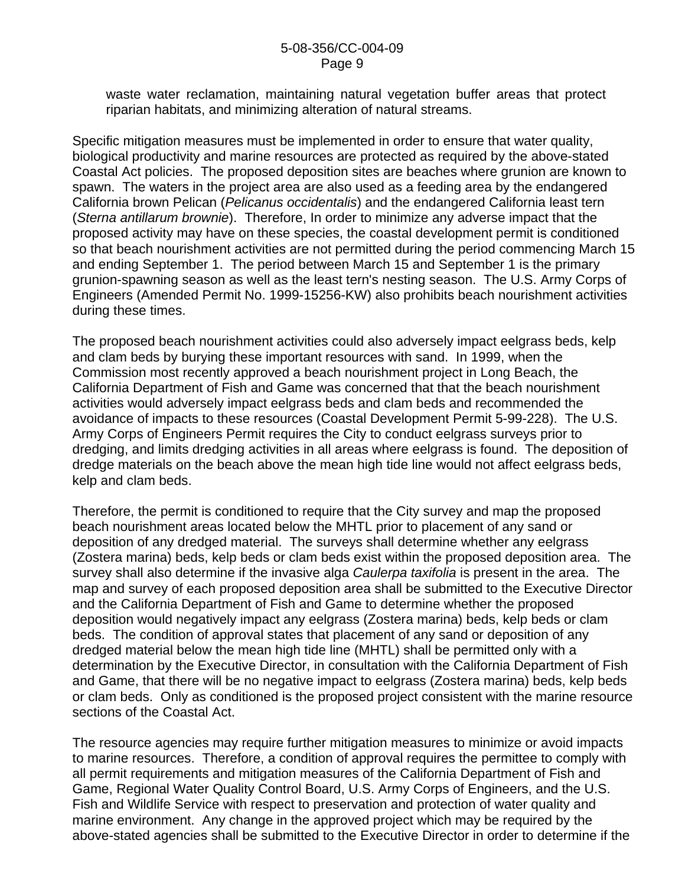#### 5-08-356/CC-004-09 Page 9

waste water reclamation, maintaining natural vegetation buffer areas that protect riparian habitats, and minimizing alteration of natural streams.

Specific mitigation measures must be implemented in order to ensure that water quality, biological productivity and marine resources are protected as required by the above-stated Coastal Act policies. The proposed deposition sites are beaches where grunion are known to spawn. The waters in the project area are also used as a feeding area by the endangered California brown Pelican (*Pelicanus occidentalis*) and the endangered California least tern (*Sterna antillarum brownie*). Therefore, In order to minimize any adverse impact that the proposed activity may have on these species, the coastal development permit is conditioned so that beach nourishment activities are not permitted during the period commencing March 15 and ending September 1. The period between March 15 and September 1 is the primary grunion-spawning season as well as the least tern's nesting season. The U.S. Army Corps of Engineers (Amended Permit No. 1999-15256-KW) also prohibits beach nourishment activities during these times.

The proposed beach nourishment activities could also adversely impact eelgrass beds, kelp and clam beds by burying these important resources with sand. In 1999, when the Commission most recently approved a beach nourishment project in Long Beach, the California Department of Fish and Game was concerned that that the beach nourishment activities would adversely impact eelgrass beds and clam beds and recommended the avoidance of impacts to these resources (Coastal Development Permit 5-99-228). The U.S. Army Corps of Engineers Permit requires the City to conduct eelgrass surveys prior to dredging, and limits dredging activities in all areas where eelgrass is found. The deposition of dredge materials on the beach above the mean high tide line would not affect eelgrass beds, kelp and clam beds.

Therefore, the permit is conditioned to require that the City survey and map the proposed beach nourishment areas located below the MHTL prior to placement of any sand or deposition of any dredged material. The surveys shall determine whether any eelgrass (Zostera marina) beds, kelp beds or clam beds exist within the proposed deposition area. The survey shall also determine if the invasive alga *Caulerpa taxifolia* is present in the area. The map and survey of each proposed deposition area shall be submitted to the Executive Director and the California Department of Fish and Game to determine whether the proposed deposition would negatively impact any eelgrass (Zostera marina) beds, kelp beds or clam beds. The condition of approval states that placement of any sand or deposition of any dredged material below the mean high tide line (MHTL) shall be permitted only with a determination by the Executive Director, in consultation with the California Department of Fish and Game, that there will be no negative impact to eelgrass (Zostera marina) beds, kelp beds or clam beds. Only as conditioned is the proposed project consistent with the marine resource sections of the Coastal Act.

The resource agencies may require further mitigation measures to minimize or avoid impacts to marine resources. Therefore, a condition of approval requires the permittee to comply with all permit requirements and mitigation measures of the California Department of Fish and Game, Regional Water Quality Control Board, U.S. Army Corps of Engineers, and the U.S. Fish and Wildlife Service with respect to preservation and protection of water quality and marine environment. Any change in the approved project which may be required by the above-stated agencies shall be submitted to the Executive Director in order to determine if the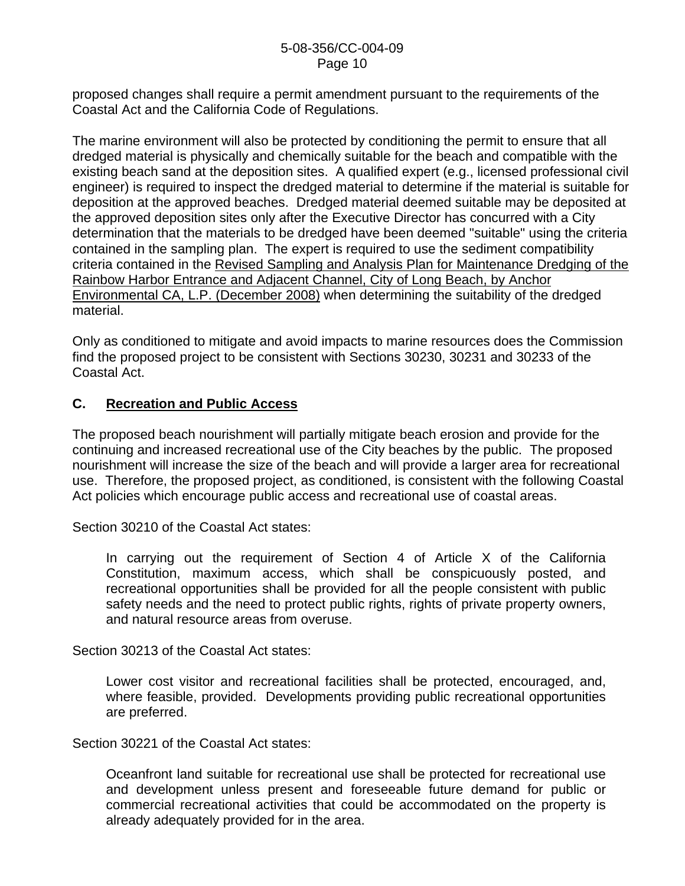proposed changes shall require a permit amendment pursuant to the requirements of the Coastal Act and the California Code of Regulations.

The marine environment will also be protected by conditioning the permit to ensure that all dredged material is physically and chemically suitable for the beach and compatible with the existing beach sand at the deposition sites. A qualified expert (e.g., licensed professional civil engineer) is required to inspect the dredged material to determine if the material is suitable for deposition at the approved beaches. Dredged material deemed suitable may be deposited at the approved deposition sites only after the Executive Director has concurred with a City determination that the materials to be dredged have been deemed "suitable" using the criteria contained in the sampling plan. The expert is required to use the sediment compatibility criteria contained in the Revised Sampling and Analysis Plan for Maintenance Dredging of the Rainbow Harbor Entrance and Adjacent Channel, City of Long Beach, by Anchor Environmental CA, L.P. (December 2008) when determining the suitability of the dredged material.

Only as conditioned to mitigate and avoid impacts to marine resources does the Commission find the proposed project to be consistent with Sections 30230, 30231 and 30233 of the Coastal Act.

# **C. Recreation and Public Access**

The proposed beach nourishment will partially mitigate beach erosion and provide for the continuing and increased recreational use of the City beaches by the public. The proposed nourishment will increase the size of the beach and will provide a larger area for recreational use. Therefore, the proposed project, as conditioned, is consistent with the following Coastal Act policies which encourage public access and recreational use of coastal areas.

Section 30210 of the Coastal Act states:

 In carrying out the requirement of Section 4 of Article X of the California Constitution, maximum access, which shall be conspicuously posted, and recreational opportunities shall be provided for all the people consistent with public safety needs and the need to protect public rights, rights of private property owners, and natural resource areas from overuse.

Section 30213 of the Coastal Act states:

 Lower cost visitor and recreational facilities shall be protected, encouraged, and, where feasible, provided. Developments providing public recreational opportunities are preferred.

Section 30221 of the Coastal Act states:

 Oceanfront land suitable for recreational use shall be protected for recreational use and development unless present and foreseeable future demand for public or commercial recreational activities that could be accommodated on the property is already adequately provided for in the area.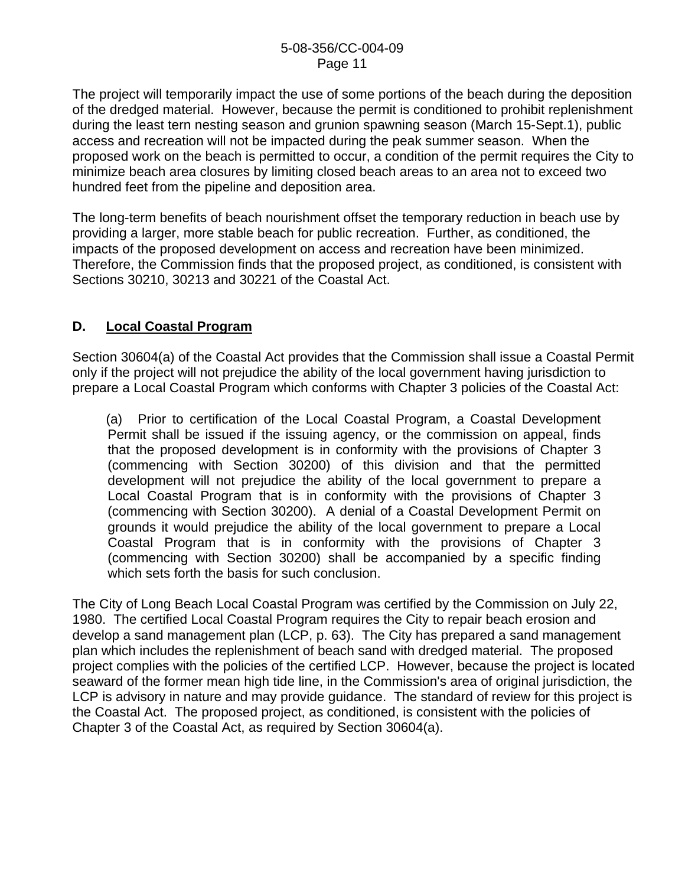The project will temporarily impact the use of some portions of the beach during the deposition of the dredged material. However, because the permit is conditioned to prohibit replenishment during the least tern nesting season and grunion spawning season (March 15-Sept.1), public access and recreation will not be impacted during the peak summer season. When the proposed work on the beach is permitted to occur, a condition of the permit requires the City to minimize beach area closures by limiting closed beach areas to an area not to exceed two hundred feet from the pipeline and deposition area.

The long-term benefits of beach nourishment offset the temporary reduction in beach use by providing a larger, more stable beach for public recreation. Further, as conditioned, the impacts of the proposed development on access and recreation have been minimized. Therefore, the Commission finds that the proposed project, as conditioned, is consistent with Sections 30210, 30213 and 30221 of the Coastal Act.

# **D. Local Coastal Program**

Section 30604(a) of the Coastal Act provides that the Commission shall issue a Coastal Permit only if the project will not prejudice the ability of the local government having jurisdiction to prepare a Local Coastal Program which conforms with Chapter 3 policies of the Coastal Act:

 (a) Prior to certification of the Local Coastal Program, a Coastal Development Permit shall be issued if the issuing agency, or the commission on appeal, finds that the proposed development is in conformity with the provisions of Chapter 3 (commencing with Section 30200) of this division and that the permitted development will not prejudice the ability of the local government to prepare a Local Coastal Program that is in conformity with the provisions of Chapter 3 (commencing with Section 30200). A denial of a Coastal Development Permit on grounds it would prejudice the ability of the local government to prepare a Local Coastal Program that is in conformity with the provisions of Chapter 3 (commencing with Section 30200) shall be accompanied by a specific finding which sets forth the basis for such conclusion.

The City of Long Beach Local Coastal Program was certified by the Commission on July 22, 1980. The certified Local Coastal Program requires the City to repair beach erosion and develop a sand management plan (LCP, p. 63). The City has prepared a sand management plan which includes the replenishment of beach sand with dredged material. The proposed project complies with the policies of the certified LCP. However, because the project is located seaward of the former mean high tide line, in the Commission's area of original jurisdiction, the LCP is advisory in nature and may provide guidance. The standard of review for this project is the Coastal Act. The proposed project, as conditioned, is consistent with the policies of Chapter 3 of the Coastal Act, as required by Section 30604(a).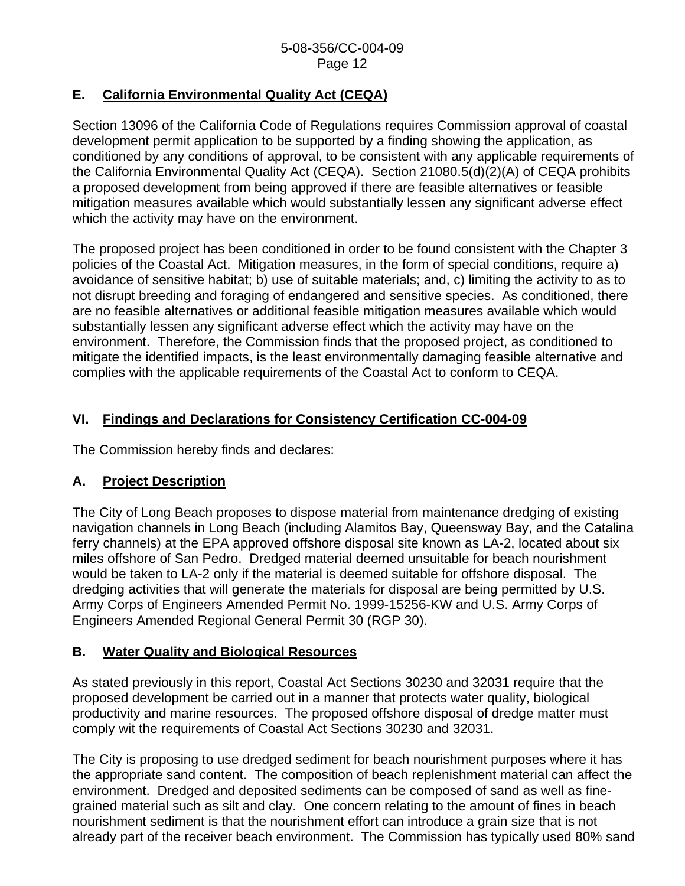# **E. California Environmental Quality Act (CEQA)**

Section 13096 of the California Code of Regulations requires Commission approval of coastal development permit application to be supported by a finding showing the application, as conditioned by any conditions of approval, to be consistent with any applicable requirements of the California Environmental Quality Act (CEQA). Section 21080.5(d)(2)(A) of CEQA prohibits a proposed development from being approved if there are feasible alternatives or feasible mitigation measures available which would substantially lessen any significant adverse effect which the activity may have on the environment.

The proposed project has been conditioned in order to be found consistent with the Chapter 3 policies of the Coastal Act. Mitigation measures, in the form of special conditions, require a) avoidance of sensitive habitat; b) use of suitable materials; and, c) limiting the activity to as to not disrupt breeding and foraging of endangered and sensitive species. As conditioned, there are no feasible alternatives or additional feasible mitigation measures available which would substantially lessen any significant adverse effect which the activity may have on the environment. Therefore, the Commission finds that the proposed project, as conditioned to mitigate the identified impacts, is the least environmentally damaging feasible alternative and complies with the applicable requirements of the Coastal Act to conform to CEQA.

# **VI. Findings and Declarations for Consistency Certification CC-004-09**

The Commission hereby finds and declares:

# **A. Project Description**

The City of Long Beach proposes to dispose material from maintenance dredging of existing navigation channels in Long Beach (including Alamitos Bay, Queensway Bay, and the Catalina ferry channels) at the EPA approved offshore disposal site known as LA-2, located about six miles offshore of San Pedro. Dredged material deemed unsuitable for beach nourishment would be taken to LA-2 only if the material is deemed suitable for offshore disposal. The dredging activities that will generate the materials for disposal are being permitted by U.S. Army Corps of Engineers Amended Permit No. 1999-15256-KW and U.S. Army Corps of Engineers Amended Regional General Permit 30 (RGP 30).

# **B. Water Quality and Biological Resources**

As stated previously in this report, Coastal Act Sections 30230 and 32031 require that the proposed development be carried out in a manner that protects water quality, biological productivity and marine resources. The proposed offshore disposal of dredge matter must comply wit the requirements of Coastal Act Sections 30230 and 32031.

The City is proposing to use dredged sediment for beach nourishment purposes where it has the appropriate sand content. The composition of beach replenishment material can affect the environment. Dredged and deposited sediments can be composed of sand as well as finegrained material such as silt and clay. One concern relating to the amount of fines in beach nourishment sediment is that the nourishment effort can introduce a grain size that is not already part of the receiver beach environment. The Commission has typically used 80% sand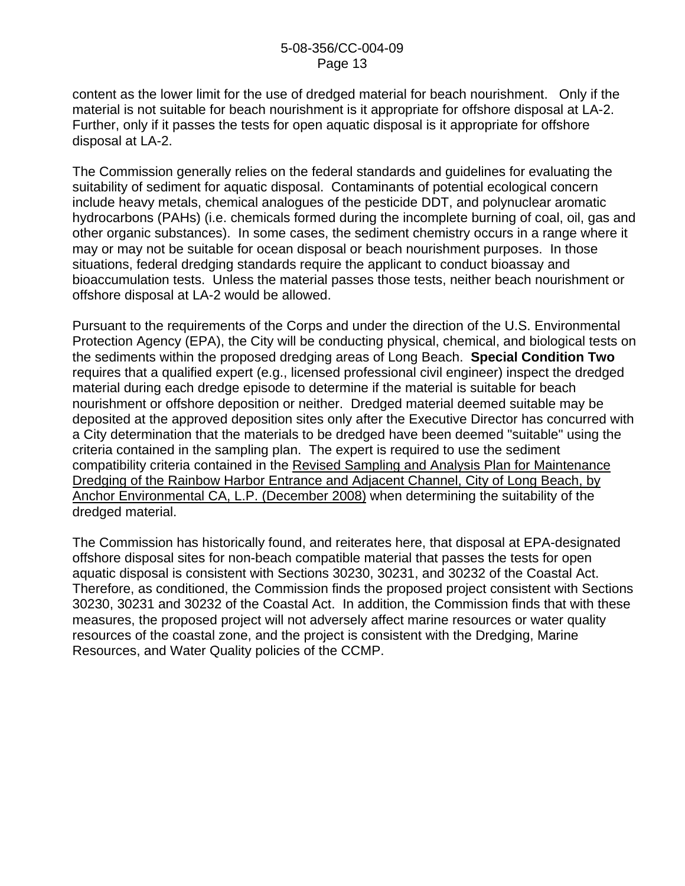content as the lower limit for the use of dredged material for beach nourishment. Only if the material is not suitable for beach nourishment is it appropriate for offshore disposal at LA-2. Further, only if it passes the tests for open aquatic disposal is it appropriate for offshore disposal at LA-2.

The Commission generally relies on the federal standards and guidelines for evaluating the suitability of sediment for aquatic disposal. Contaminants of potential ecological concern include heavy metals, chemical analogues of the pesticide DDT, and polynuclear aromatic hydrocarbons (PAHs) (i.e. chemicals formed during the incomplete burning of coal, oil, gas and other organic substances). In some cases, the sediment chemistry occurs in a range where it may or may not be suitable for ocean disposal or beach nourishment purposes. In those situations, federal dredging standards require the applicant to conduct bioassay and bioaccumulation tests. Unless the material passes those tests, neither beach nourishment or offshore disposal at LA-2 would be allowed.

Pursuant to the requirements of the Corps and under the direction of the U.S. Environmental Protection Agency (EPA), the City will be conducting physical, chemical, and biological tests on the sediments within the proposed dredging areas of Long Beach. **Special Condition Two** requires that a qualified expert (e.g., licensed professional civil engineer) inspect the dredged material during each dredge episode to determine if the material is suitable for beach nourishment or offshore deposition or neither. Dredged material deemed suitable may be deposited at the approved deposition sites only after the Executive Director has concurred with a City determination that the materials to be dredged have been deemed "suitable" using the criteria contained in the sampling plan. The expert is required to use the sediment compatibility criteria contained in the Revised Sampling and Analysis Plan for Maintenance Dredging of the Rainbow Harbor Entrance and Adjacent Channel, City of Long Beach, by Anchor Environmental CA, L.P. (December 2008) when determining the suitability of the dredged material.

The Commission has historically found, and reiterates here, that disposal at EPA-designated offshore disposal sites for non-beach compatible material that passes the tests for open aquatic disposal is consistent with Sections 30230, 30231, and 30232 of the Coastal Act. Therefore, as conditioned, the Commission finds the proposed project consistent with Sections 30230, 30231 and 30232 of the Coastal Act. In addition, the Commission finds that with these measures, the proposed project will not adversely affect marine resources or water quality resources of the coastal zone, and the project is consistent with the Dredging, Marine Resources, and Water Quality policies of the CCMP.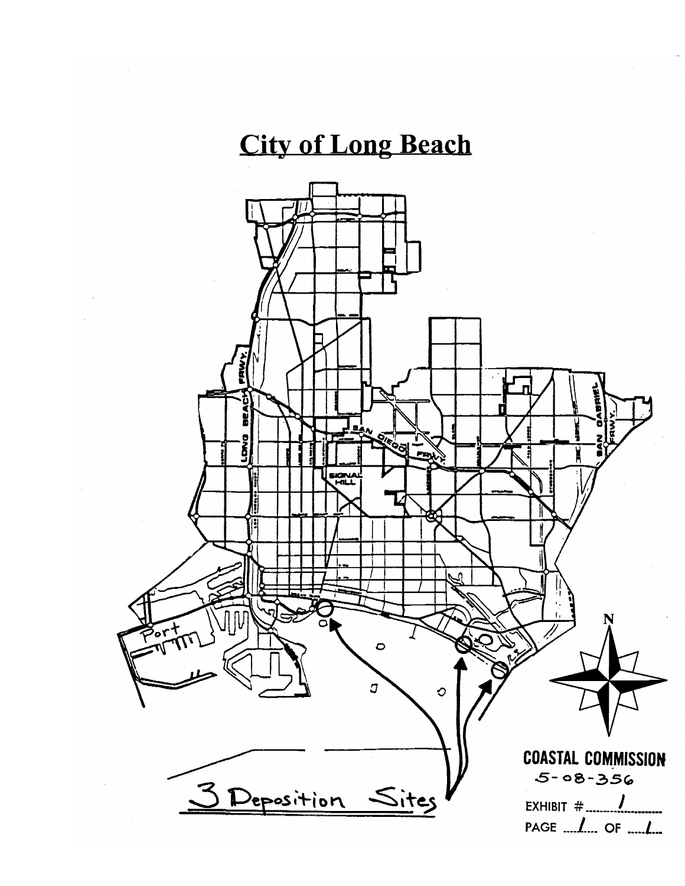# **City of Long Beach**

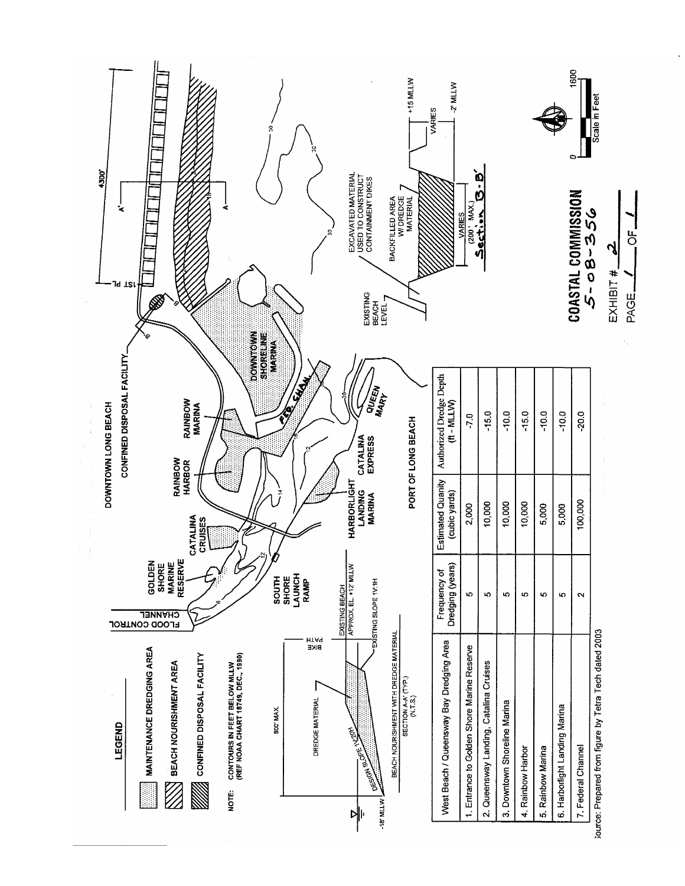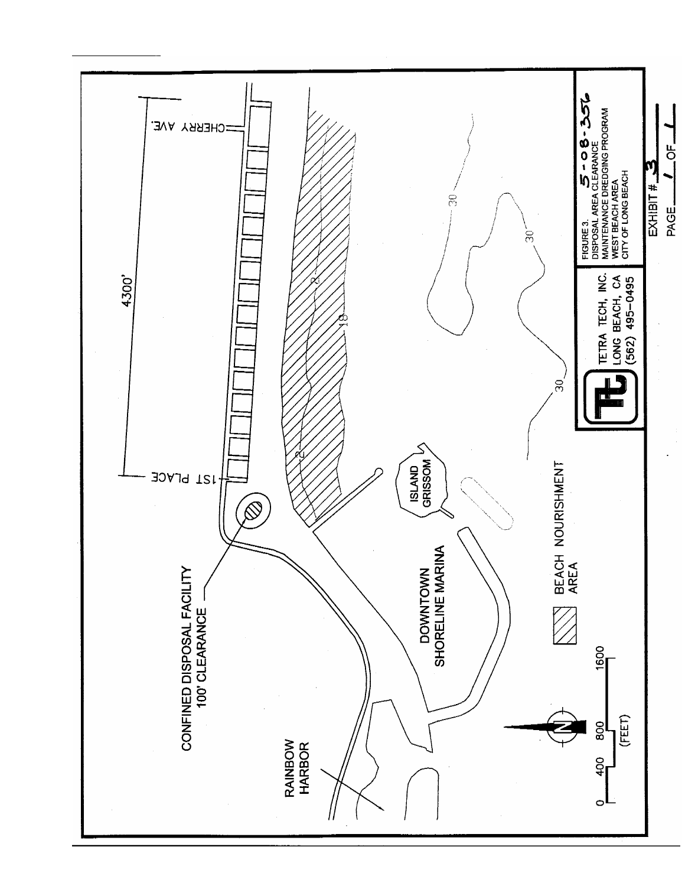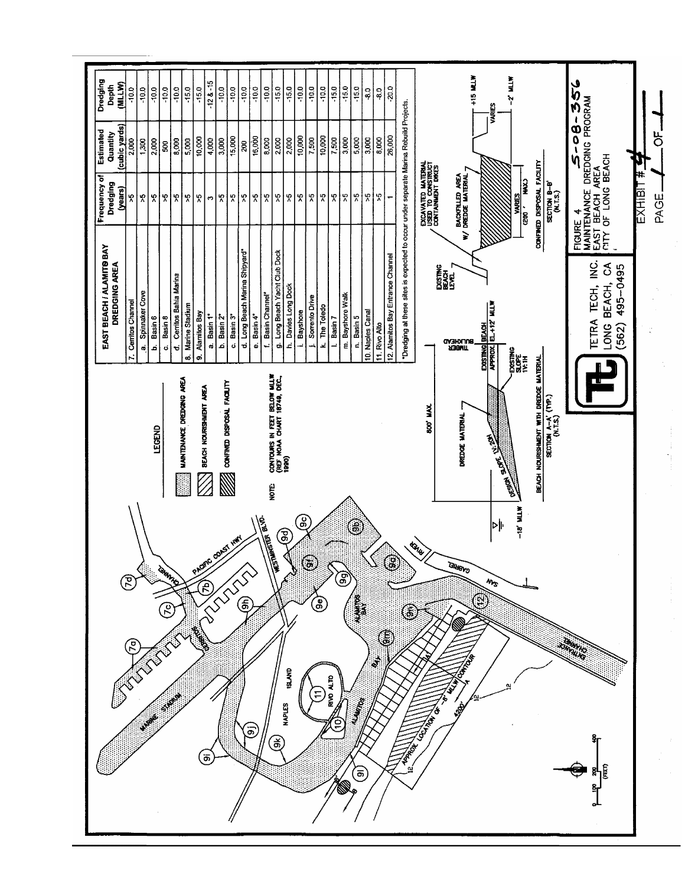